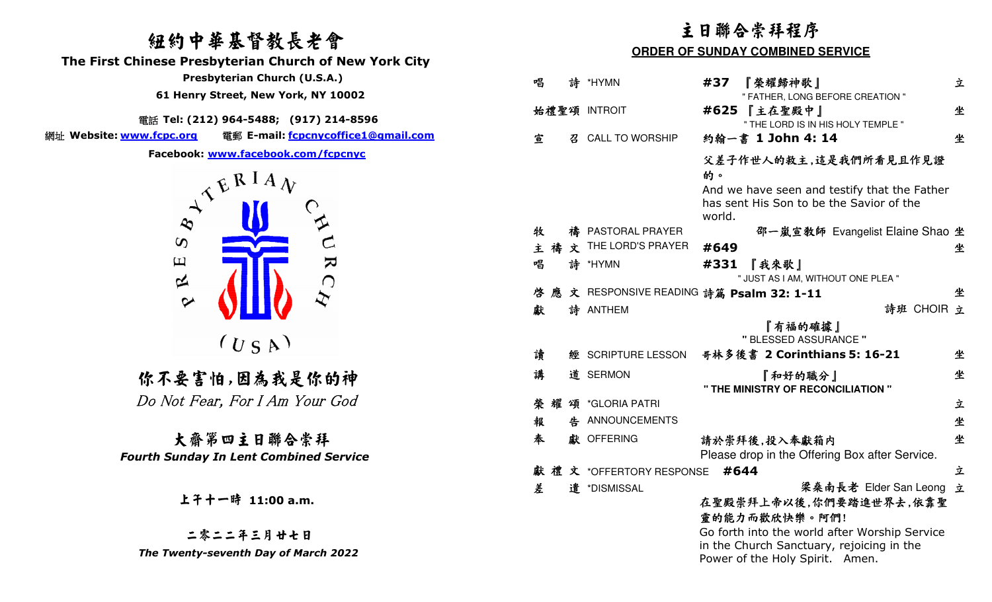# 紐約中華基督教長老會

**The First Chinese Presbyterian Church of New York City** 

**Tel: (212) 964-5488; (917) 214-8596**<br>من من الله عليه السياسي

網址 **Website: www.fcpc.org** 電郵 **E-mail: fcpcnycoffice1@gmail.com**



大齋第四主日聯合崇拜*Fourth Sunday In Lent Combined Service* 

| 纽约中華基督教長老會                                                                 | 主日聯合崇拜程序                                |   |                                        |        |                                                                              |   |  |
|----------------------------------------------------------------------------|-----------------------------------------|---|----------------------------------------|--------|------------------------------------------------------------------------------|---|--|
| inese Presbyterian Church of New York City                                 | <b>ORDER OF SUNDAY COMBINED SERVICE</b> |   |                                        |        |                                                                              |   |  |
| Presbyterian Church (U.S.A.)                                               | 唱                                       |   | 詩 *HYMN                                | #37    | 『榮耀歸神歌』                                                                      | 立 |  |
| 61 Henry Street, New York, NY 10002                                        |                                         |   |                                        |        | " FATHER, LONG BEFORE CREATION "                                             |   |  |
| 電話 Tel: (212) 964-5488; (917) 214-8596                                     |                                         |   | 始禮聖頌 INTROIT                           |        | #625 【主在聖殿中】<br>" THE LORD IS IN HIS HOLY TEMPLE "                           | 坐 |  |
| 電郵 E-mail: fcpcnycoffice1@gmail.com<br>w.fcpc.org                          | 宣                                       | 召 | <b>CALL TO WORSHIP</b>                 |        | 約翰一書 1 John 4: 14                                                            | 坐 |  |
| Facebook: www.facebook.com/fcpcnyc                                         |                                         |   |                                        | 的。     | 父差子作世人的救主,這是我們所看見且作見證                                                        |   |  |
|                                                                            |                                         |   |                                        |        | And we have seen and testify that the Father                                 |   |  |
| $A^{\mathcal{L}^{\mathcal{L}^{\mathcal{R}} I A} \mathcal{N}}$<br>$\hat{z}$ |                                         |   |                                        | world. | has sent His Son to be the Savior of the                                     |   |  |
| AN                                                                         | 牧                                       |   | 禱 PASTORAL PRAYER                      |        | 邵一嵐宣教師 Evangelist Elaine Shao 坐                                              |   |  |
| $\boldsymbol{\omega}$                                                      |                                         |   | 主 禱 文 THE LORD'S PRAYER                | #649   |                                                                              | 坐 |  |
| $\overline{\mathbf{z}}$<br>$\Xi$<br>$\approx$<br>$\bigcap$                 | 唱                                       |   | 詩 *HYMN                                | #331   | 『我來歌』<br>" JUST AS I AM, WITHOUT ONE PLEA "                                  |   |  |
| $\bm{\dot{\chi}}$                                                          | 啓<br>應                                  |   | 文 RESPONSIVE READING 詩篇 Psalm 32: 1-11 |        |                                                                              | 坐 |  |
| $\sim$                                                                     | 獻                                       |   | 詩 ANTHEM                               |        | 詩班 CHOIR 立                                                                   |   |  |
| $(U_S A)$                                                                  |                                         |   |                                        |        | 『有福的確據』<br>" BLESSED ASSURANCE "                                             |   |  |
|                                                                            | 讀                                       |   | 經 SCRIPTURE LESSON                     |        | 哥林多後書 2 Corinthians 5: 16-21                                                 | 坐 |  |
| 你不要害怕,因為我是你的神                                                              | 講                                       |   | 道 SERMON                               |        | 『和好的職分』<br>" THE MINISTRY OF RECONCILIATION "                                | 坐 |  |
| Do Not Fear, For I Am Your God                                             | 榮 耀                                     | 頌 | *GLORIA PATRI                          |        |                                                                              | 立 |  |
|                                                                            | 報                                       | 告 | ANNOUNCEMENTS                          |        |                                                                              | 坐 |  |
| 大齋第四主日聯合崇拜                                                                 | 奉                                       |   | 獻 OFFERING                             |        | 請於崇拜後,投入奉獻箱内                                                                 | 坐 |  |
| <b>Inth Sunday In Lent Combined Service</b>                                |                                         |   |                                        |        | Please drop in the Offering Box after Service.                               |   |  |
|                                                                            |                                         |   | 獻禮文 *OFFERTORY RESPONSE #644           |        |                                                                              | 立 |  |
| 上干十一時 11:00 a.m.                                                           | 差                                       |   | 遣 *DISMISSAL                           |        | 梁桑南長老 Elder San Leong 立<br>在聖殿崇拜上帝以後,你們要踏進世界去,依靠聖                            |   |  |
| 二零二二年三月廿七日                                                                 |                                         |   |                                        |        | 靈的能力而歡欣快樂。阿們!<br>Go forth into the world after Worship Service               |   |  |
| The Twenty-seventh Day of March 2022                                       |                                         |   |                                        |        | in the Church Sanctuary, rejoicing in the<br>Power of the Holy Spirit. Amen. |   |  |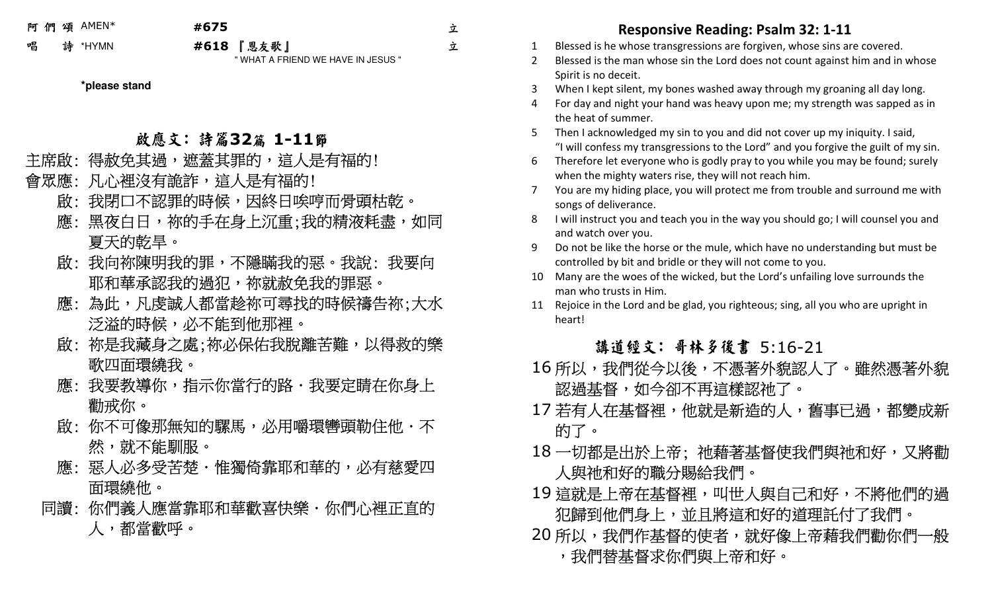阿 們 頌AMEN\*

## **#675**

立 立

唱 詩 \*HYMN **#618** 『恩友歌』

" WHAT A FRIEND WE HAVE IN JESUS "

### **\*please stand**

- 啟應文: 詩篇**32**篇 **1-11**節
- 主席啟: 得赦免其過,遮蓋其罪的,這人是有福的!

## 會眾應: 凡心裡沒有詭詐,這人是有福的!

- 啟: 我閉口不認罪的時候,因終日唉哼而骨頭枯乾。
- 應: 黑夜白日,祢的手在身上沉重;我的精液耗盡,如同 夏天的乾旱。
- 啟: 我向祢陳明我的罪,不隱瞞我的惡。我說: 我要向 耶和華承認我的過犯,祢就赦免我的罪惡。
- 應: 為此,凡虔誠人都當趁祢可尋找的時候禱告祢;大水 泛溢的時候,必不能到他那裡。
- 啟: 祢是我藏身之處;祢必保佑我脫離苦難,以得救的樂 歌四面環繞我。
- - 應:我要教導你,指示你當行的路・我要定睛在你身上 勸戒你。
- 敏: 你不可像那無知的騾馬,必用嚼環轡頭勒住他・不 然,就不能馴服。
	- 應:惡人必多受苦楚.惟獨倚靠耶和華的,必有慈愛四 面環繞他。
- 你們義人應當靠耶和華歡喜快樂・你們心裡正直的」 同讀: 你人,都當歡呼。

- 
- 
- 
- 
- 
- 
- 
- 
- 
- 
- 

- 所以,我們從今以後,不憑著外貌認人了。雖然憑著外貌一 認過基督,如今卻不再這樣認祂了。
- 17 若有人在基督裡,他就是新造的人,舊事已過,都變成新 的了。
- 18 一切都是出於上帝; 祂藉著基督使我們與祂和好,又將勸 人與祂和好的職分賜給我們。
- 19 這就是上帝在基督裡,叫世人與自己和好,不將他們的過 犯歸到他們身上,並且將這和好的道理託付了我們。
- **Responsive Reading: Psalm 32: 1-11** 1 Blessed is he whose transgressions are forgiven, whose sins are covered. 2 Blessed is the man whose sin the Lord does not count against him and in whose Spirit is no deceit. 3 When I kept silent, my bones washed away through my groaning all day long. 4 For day and night your hand was heavy upon me; my strength was sapped as in the heat of summer. 5 Then I acknowledged my sin to you and did not cover up my iniquity. I said, "I will confess my transgressions to the Lord" and you forgive the guilt of my sin. 6 Therefore let everyone who is godly pray to you while you may be found; surely when the mighty waters rise, they will not reach him. 7 You are my hiding place, you will protect me from trouble and surround me with songs of deliverance. 8 I will instruct you and teach you in the way you should go; I will counsel you and and watch over you. 9 Do not be like the horse or the mule, which have no understanding but must be controlled by bit and bridle or they will not come to you. 10 Many are the woes of the wicked, but the Lord's unfailing love surrounds the man who trusts in Him. 11 Rejoice in the Lord and be glad, you righteous; sing, all you who are upright in heart! 講道經文: 哥林多後書 5:16-21 16 20 所以,我們作基督的使者,就好像上帝藉我們勸你們一般」 ,我們替基督求你們與上帝和好。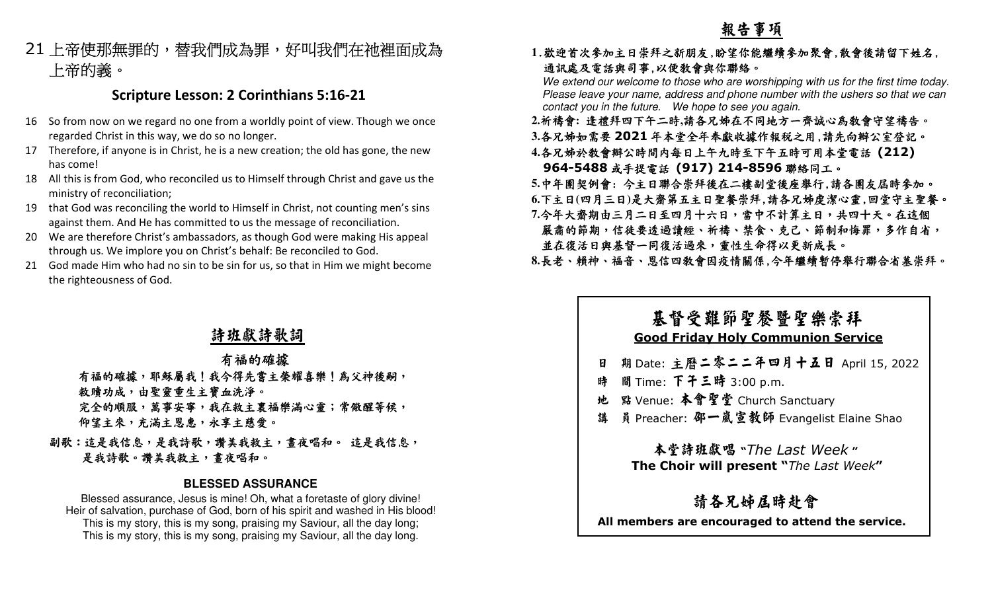21 上帝使那無罪的,替我們成為罪,好叫我們在祂裡面成為<br>上帝的義。

## **Scripture Lesson: 2 Corinthians 5:16-21**

- 16 So from now on we regard no one from a worldly point of view. Though we once regarded Christ in this way, we do so no longer.
- 17 Therefore, if anyone is in Christ, he is a new creation; the old has gone, the new has come!
- 18 All this is from God, who reconciled us to Himself through Christ and gave us the ministry of reconciliation;
- 19 that God was reconciling the world to Himself in Christ, not counting men's sins against them. And He has committed to us the message of reconciliation.
- 20 We are therefore Christ's ambassadors, as though God were making His appeal through us. We implore you on Christ's behalf: Be reconciled to God.
- 21 God made Him who had no sin to be sin for us, so that in Him we might become the righteousness of God.

## 詩班獻詩歌詞

## 有福的確據

有福的確據,耶穌屬我!我今得先嘗主榮耀喜樂!為父神後嗣, 救贖功成,由聖靈重生主寶血洗淨。完全的順服,萬事安寧,我在救主裏福樂滿心靈;常儆醒等候, 完全的順服,萬事安寧,我在救主裏福樂滿心靈;常儆醒等候,<br>仰望主來,充滿主恩惠,永享主慈愛。<br>副歌:這是我信息,是我詩歌,讚美我救主,晝夜唱和。 這是我信息,

 這是我信息, 是我詩歌。讚美我救主,書夜唱和。

### **BLESSED ASSURANCE**

Blessed assurance, Jesus is mine! Oh, what a foretaste of glory divine! Heir of salvation, purchase of God, born of his spirit and washed in His blood! This is my story, this is my song, praising my Saviour, all the day long; This is my story, this is my song, praising my Saviour, all the day long.

**1**.歡迎首次參加主日崇拜之新朋友,盼望你能繼續參加聚會,散會後請留下姓名, 通訊處及電話與司事,以便教會與你聯絡。

We extend our welcome to those who are worshipping with us for the first time today. Please leave your name, address and phone number with the ushers so that we can contact you in the future. We hope to see you again.

- **2.**祈禱會**:** 逢禮拜四下午二時**,**請各兄姊在不同地方一齊誠心為教會守望禱告。
- **3.**各兄姊如需要 **<sup>2021</sup>** 年本堂全年奉獻收據作報稅之用,請先向辦公室登記。
- **4.**各兄姊於教會辦公時間內每日上午九時至下午五時可用本堂電話 **(212) 964-5488** 或手提電話 **(917) 214-8596** 聯絡同工。
- **5.**中年團契例會: 今主日聯合崇拜後在二樓副堂後座舉行,請各團友屆時參加。
- **6.**下主日**(**四月三日**)**是大齋第五主日聖餐崇拜,請各兄姊虔潔心靈,回堂守主聖餐。
- **7.**今年大齋期由三月二日至四月十六日,當中不計算主日,共四十天。在這個嚴肅的節期,信徒要透過讀經、祈禱、禁食、克己、節制和悔罪,多作自省, 並在復活日與基督一同復活過來,靈性生命得以更新成長。
- **8.**長老、賴神、福音、恩信四教會因疫情關係,今年繼續暫停舉行聯合省墓崇拜。

## 基督受難節聖餐暨聖樂崇拜 **Good Friday Holy Communion Service**

- 日 期 Date: 主曆二零二二年四月十五日 April 15, 2022
- 時 間 Time: 下午三時<br>小 のソ
- 時 間Time: 下十三時 3:00 p.m.<br>地 點 Venue: 本會聖堂 Church Sanctuary<br>- <sup>雄 晶 Dreacher:</sup> 巫一点字数師 Exangelist
- 講 员 Preacher: 邵一嵐宣教師 Evangelist Elaine Shao

## 本堂詩班獻唱 **"***The Last Week* **" The Choir will present "***The Last Week***"**

# 請各兄姊屆時赴會

 **All members are encouraged to attend the service.**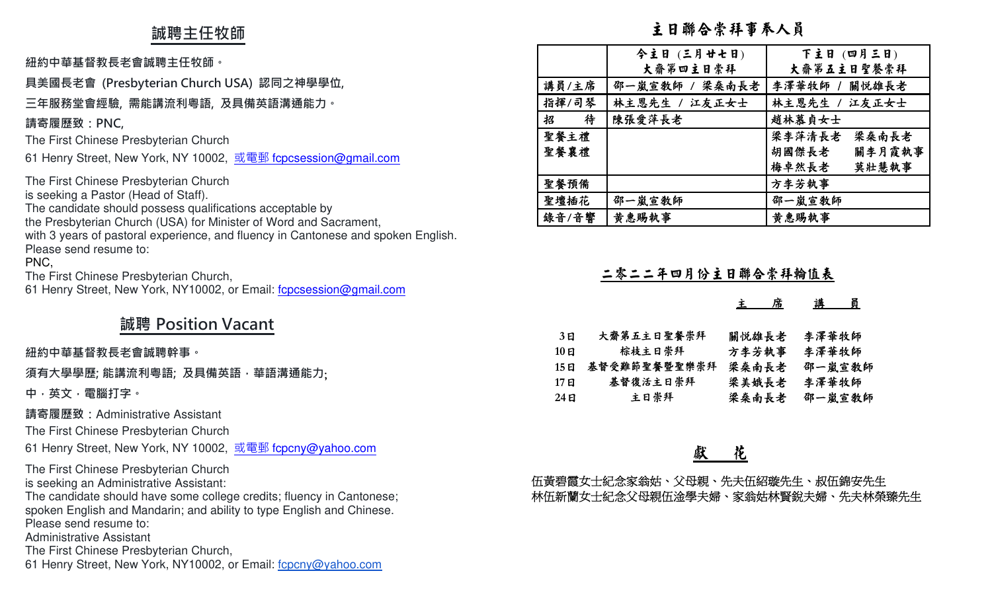## **誠聘主任牧師**

### **紐約中華基督教⻑老會誠聘主任牧師。**

## **具美國⻑老會 (Presbyterian Church USA) 認同之神學學位,**

## **三年服務堂會經驗, 需能講流利粵語, 及具備英語溝通能力。**

### **請寄履歷致:PNC,**

The First Chinese Presbyterian Church

61 Henry Street, New York, NY 10002, <u>或電郵 f<mark>cpcsession@gmail.com</mark></u>

The First Chinese Presbyterian Church is seeking a Pastor (Head of Staff). The candidate should possess qualifications acceptable by the Presbyterian Church (USA) for Minister of Word and Sacrament, with 3 years of pastoral experience, and fluency in Cantonese and spoken English.Please send resume to: PNC, The First Chinese Presbyterian Church,

61 Henry Street, New York, NY10002, or Email: fcpcsession@gmail.com

# **誠聘 Position Vacant**

### **紐約中華基督教⻑老會誠聘幹事。**

**須有大學學歷; 能講流利粵語; 及具備英語,華語溝通能力**;

**中,英文,電腦打字。 請寄履歷致:**Administrative Assistant

The First Chinese Presbyterian Church

61 Henry Street, New York, NY 10002, <u>或電郵 f<mark>cpcny@yahoo.com</mark></u>

The First Chinese Presbyterian Church is seeking an Administrative Assistant:

 The candidate should have some college credits; fluency in Cantonese; spoken English and Mandarin; and ability to type English and Chinese.Please send resume to:

Administrative Assistant

The First Chinese Presbyterian Church,

61 Henry Street, New York, NY10002, or Email: fcpcny@yahoo.com

## 主日聯合崇拜事奉人員

|        | 今主日 (三月廿七日)    | 下主日 (四月三日)      |
|--------|----------------|-----------------|
|        | 大齋第四主日崇拜       | 大齋第五主日聖餐崇拜      |
| 講員/主席  | 邵一嵐宣敎師 / 梁桑南長老 | 李澤華牧師 / 關悦雄長老   |
| 指揮/司琴  | 林主恩先生 / 江友正女士  | 林主恩先生 / 江友正女士   |
| 待<br>招 | 陳張愛萍長老         | 趙林慕貞女士          |
| 聖餐主禮   |                | 梁李萍清長老<br>梁桑南長老 |
| 聖餐襄禮   |                | 胡國傑長老<br>關李月霞執事 |
|        |                | 莫壯慧執事<br>梅卓然長老  |
| 聖餐預備   |                | 方李芳執事           |
| 聖壇插花   | 邵一嵐宣教師         | 邵一嵐宣教師          |
| 錄音/音響  | 黄惠賜執事          | 黄惠賜執事           |

## 二零二二年四月份主日聯合崇拜輪值表

### 主<sup>席</sup> <sup>講</sup> <sup>員</sup>

| 3 E   | 大齋第五主日聖餐崇拜   | 關悦雄長老 | 李澤華牧師  |
|-------|--------------|-------|--------|
| 10 E  | 棕枝主日崇拜       | 方李芳執事 | 李澤華牧師  |
| 15 FI | 基督受難節聖餐暨聖樂崇拜 | 梁桑南長老 | 邵一嵐宣敎師 |
| 17 E  | 基督復活主日崇拜     | 梁美娥長老 | 李澤華牧師  |
| 24 E  | 主日崇拜         | 梁桑南長老 | 邵一嵐宣敎師 |

## 獻 花

伍黃碧霞女士紀念家翁姑、父母親、先夫伍紹璇先生、叔伍錦安先生 林伍新蘭女士紀念父母親伍淦學夫婦、家翁姑林賢銳夫婦、先夫林榮臻先生